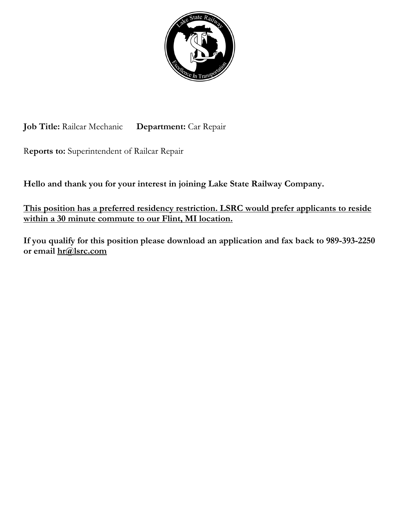

**Job Title:** Railcar Mechanic **Department:** Car Repair

R**eports to:** Superintendent of Railcar Repair

**Hello and thank you for your interest in joining Lake State Railway Company.**

**This position has a preferred residency restriction. LSRC would prefer applicants to reside within a 30 minute commute to our Flint, MI location.** 

**If you qualify for this position please download an application and fax back to 989-393-2250 or email [hr@lsrc.com](mailto:hr@lsrc.com)**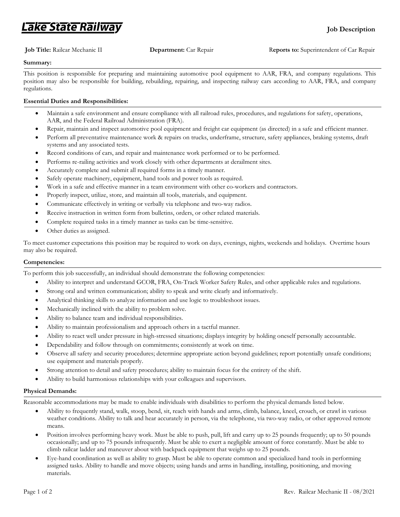## .ake State Railway

### **Summary:**

This position is responsible for preparing and maintaining automotive pool equipment to AAR, FRA, and company regulations. This position may also be responsible for building, rebuilding, repairing, and inspecting railway cars according to AAR, FRA, and company regulations.

### **Essential Duties and Responsibilities:**

- Maintain a safe environment and ensure compliance with all railroad rules, procedures, and regulations for safety, operations, AAR, and the Federal Railroad Administration (FRA).
- Repair, maintain and inspect automotive pool equipment and freight car equipment (as directed) in a safe and efficient manner.
- Perform all preventative maintenance work & repairs on trucks, underframe, structure, safety appliances, braking systems, draft systems and any associated tests.
- Record conditions of cars, and repair and maintenance work performed or to be performed.
- Performs re-railing activities and work closely with other departments at derailment sites.
- Accurately complete and submit all required forms in a timely manner.
- Safely operate machinery, equipment, hand tools and power tools as required.
- Work in a safe and effective manner in a team environment with other co-workers and contractors.
- Properly inspect, utilize, store, and maintain all tools, materials, and equipment.
- Communicate effectively in writing or verbally via telephone and two-way radios.
- Receive instruction in written form from bulletins, orders, or other related materials.
- Complete required tasks in a timely manner as tasks can be time-sensitive.
- Other duties as assigned.

To meet customer expectations this position may be required to work on days, evenings, nights, weekends and holidays. Overtime hours may also be required.

### **Competencies:**

To perform this job successfully, an individual should demonstrate the following competencies:

- Ability to interpret and understand GCOR, FRA, On-Track Worker Safety Rules, and other applicable rules and regulations.
- Strong oral and written communication; ability to speak and write clearly and informatively.
- Analytical thinking skills to analyze information and use logic to troubleshoot issues.
- Mechanically inclined with the ability to problem solve.
- Ability to balance team and individual responsibilities.
- Ability to maintain professionalism and approach others in a tactful manner.
- Ability to react well under pressure in high-stressed situations; displays integrity by holding oneself personally accountable.
- Dependability and follow through on commitments; consistently at work on time.
- Observe all safety and security procedures; determine appropriate action beyond guidelines; report potentially unsafe conditions; use equipment and materials properly.
- Strong attention to detail and safety procedures; ability to maintain focus for the entirety of the shift.
- Ability to build harmonious relationships with your colleagues and supervisors.

#### **Physical Demands:**

Reasonable accommodations may be made to enable individuals with disabilities to perform the physical demands listed below.

- Ability to frequently stand, walk, stoop, bend, sit, reach with hands and arms, climb, balance, kneel, crouch, or crawl in various weather conditions. Ability to talk and hear accurately in person, via the telephone, via two-way radio, or other approved remote means.
- Position involves performing heavy work. Must be able to push, pull, lift and carry up to 25 pounds frequently; up to 50 pounds occasionally; and up to 75 pounds infrequently. Must be able to exert a negligible amount of force constantly. Must be able to climb railcar ladder and maneuver about with backpack equipment that weighs up to 25 pounds.
- Eye-hand coordination as well as ability to grasp. Must be able to operate common and specialized hand tools in performing assigned tasks. Ability to handle and move objects; using hands and arms in handling, installing, positioning, and moving materials.